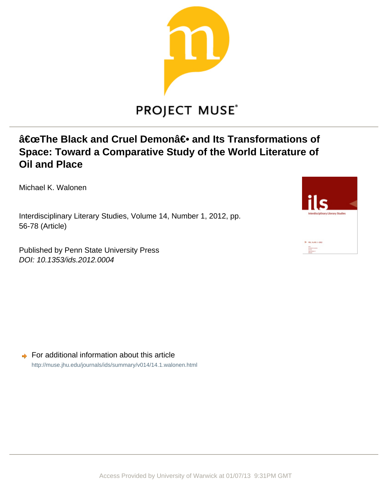



Published by Penn State University Press

<http://muse.jhu.edu/journals/ids/summary/v014/14.1.walonen.html>

Interdisciplinary Literary Studies, Volume 14, Number 1, 2012, pp. 56-78 (Article)

Michael K. Walonen

DOI: 10.1353/ids.2012.0004

**Oil and Place**

â<del>€</del>œThe Black and Cruel Demonâ⊕ and Its Transformations of **Space: Toward a Comparative Study of the World Literature of**

# **PROJECT MUSE®**



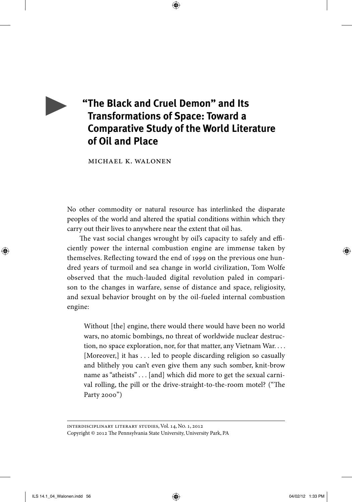# **"The Black and Cruel Demon" and Its Transformations of Space: Toward a Comparative Study of the World Literature of Oil and Place**

michael k. walonen

•

No other commodity or natural resource has interlinked the disparate peoples of the world and altered the spatial conditions within which they carry out their lives to anywhere near the extent that oil has.

The vast social changes wrought by oil's capacity to safely and efficiently power the internal combustion engine are immense taken by themselves. Reflecting toward the end of 1999 on the previous one hundred years of turmoil and sea change in world civilization, Tom Wolfe observed that the much-lauded digital revolution paled in comparison to the changes in warfare, sense of distance and space, religiosity, and sexual behavior brought on by the oil-fueled internal combustion engine:

Without [the] engine, there would there would have been no world wars, no atomic bombings, no threat of worldwide nuclear destruction, no space exploration, nor, for that matter, any Vietnam War. . . . [Moreover,] it has . . . led to people discarding religion so casually and blithely you can't even give them any such somber, knit-brow name as "atheists" . . . [and] which did more to get the sexual carnival rolling, the pill or the drive-straight-to-the-room motel? ("The Party 2000")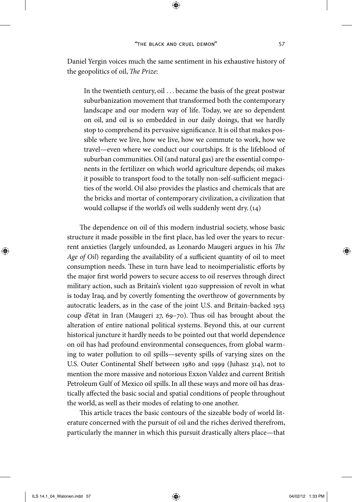Daniel Yergin voices much the same sentiment in his exhaustive history of the geopolitics of oil, *The Prize*:

In the twentieth century, oil . . . became the basis of the great postwar suburbanization movement that transformed both the contemporary landscape and our modern way of life. Today, we are so dependent on oil, and oil is so embedded in our daily doings, that we hardly stop to comprehend its pervasive significance. It is oil that makes possible where we live, how we live, how we commute to work, how we travel—even where we conduct our courtships. It is the lifeblood of suburban communities. Oil (and natural gas) are the essential components in the fertilizer on which world agriculture depends; oil makes it possible to transport food to the totally non-self-sufficient megacities of the world. Oil also provides the plastics and chemicals that are the bricks and mortar of contemporary civilization, a civilization that would collapse if the world's oil wells suddenly went dry. (14)

The dependence on oil of this modern industrial society, whose basic structure it made possible in the first place, has led over the years to recurrent anxieties (largely unfounded, as Leonardo Maugeri argues in his *The Age of Oil*) regarding the availability of a sufficient quantity of oil to meet consumption needs. These in turn have lead to neoimperialistic efforts by the major first world powers to secure access to oil reserves through direct military action, such as Britain's violent 1920 suppression of revolt in what is today Iraq, and by covertly fomenting the overthrow of governments by autocratic leaders, as in the case of the joint U.S. and Britain-backed 1953 coup d'état in Iran (Maugeri 27, 69–70). Thus oil has brought about the alteration of entire national political systems. Beyond this, at our current historical juncture it hardly needs to be pointed out that world dependence on oil has had profound environmental consequences, from global warming to water pollution to oil spills—seventy spills of varying sizes on the U.S. Outer Continental Shelf between 1980 and 1999 (Juhasz 314), not to mention the more massive and notorious Exxon Valdez and current British Petroleum Gulf of Mexico oil spills. In all these ways and more oil has drastically affected the basic social and spatial conditions of people throughout the world, as well as their modes of relating to one another.

This article traces the basic contours of the sizeable body of world literature concerned with the pursuit of oil and the riches derived therefrom, particularly the manner in which this pursuit drastically alters place—that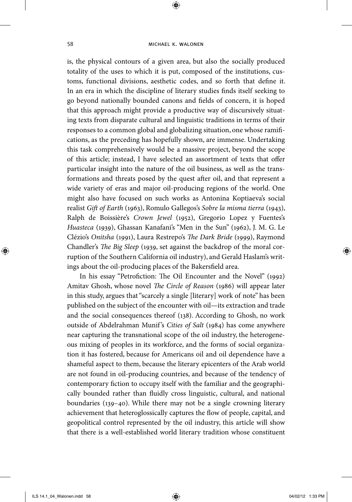is, the physical contours of a given area, but also the socially produced totality of the uses to which it is put, composed of the institutions, customs, functional divisions, aesthetic codes, and so forth that define it. In an era in which the discipline of literary studies finds itself seeking to go beyond nationally bounded canons and fields of concern, it is hoped that this approach might provide a productive way of discursively situating texts from disparate cultural and linguistic traditions in terms of their responses to a common global and globalizing situation, one whose ramifications, as the preceding has hopefully shown, are immense. Undertaking this task comprehensively would be a massive project, beyond the scope of this article; instead, I have selected an assortment of texts that offer particular insight into the nature of the oil business, as well as the transformations and threats posed by the quest after oil, and that represent a wide variety of eras and major oil-producing regions of the world. One might also have focused on such works as Antonina Koptiaeva's social realist *Gift of Earth* (1963), Romulo Gallegos's *Sobre la misma tierra* (1943), Ralph de Boissière's *Crown Jewel* (1952), Gregorio Lopez y Fuentes's *Huasteca* (1939), Ghassan Kanafani's "Men in the Sun" (1962), J. M. G. Le Clézio's *Onitsha* (1991), Laura Restrepo's *The Dark Bride* (1999), Raymond Chandler's *The Big Sleep* (1939, set against the backdrop of the moral corruption of the Southern California oil industry), and Gerald Haslam's writings about the oil-producing places of the Bakersfield area.

In his essay "Petrofiction: The Oil Encounter and the Novel" (1992) Amitav Ghosh, whose novel *The Circle of Reason* (1986) will appear later in this study, argues that "scarcely a single [literary] work of note" has been published on the subject of the encounter with oil—its extraction and trade and the social consequences thereof (138). According to Ghosh, no work outside of Abdelrahman Munif's *Cities of Salt* (1984) has come anywhere near capturing the transnational scope of the oil industry, the heterogeneous mixing of peoples in its workforce, and the forms of social organization it has fostered, because for Americans oil and oil dependence have a shameful aspect to them, because the literary epicenters of the Arab world are not found in oil-producing countries, and because of the tendency of contemporary fiction to occupy itself with the familiar and the geographically bounded rather than fluidly cross linguistic, cultural, and national boundaries (139–40). While there may not be a single crowning literary achievement that heteroglossically captures the flow of people, capital, and geopolitical control represented by the oil industry, this article will show that there is a well-established world literary tradition whose constituent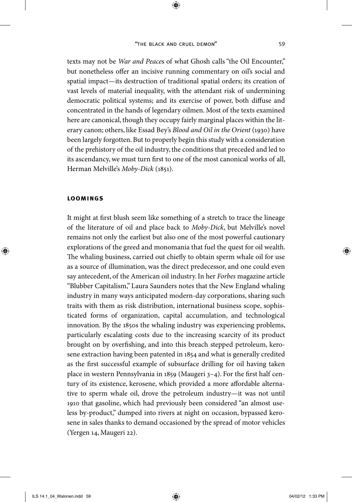texts may not be *War and Peace*s of what Ghosh calls "the Oil Encounter," but nonetheless offer an incisive running commentary on oil's social and spatial impact—its destruction of traditional spatial orders; its creation of vast levels of material inequality, with the attendant risk of undermining democratic political systems; and its exercise of power, both diffuse and concentrated in the hands of legendary oilmen. Most of the texts examined here are canonical, though they occupy fairly marginal places within the literary canon; others, like Essad Bey's *Blood and Oil in the Orient* (1930) have been largely forgotten. But to properly begin this study with a consideration of the prehistory of the oil industry, the conditions that preceded and led to its ascendancy, we must turn first to one of the most canonical works of all, Herman Melville's *Moby-Dick* (1851).

### **loomings**

It might at first blush seem like something of a stretch to trace the lineage of the literature of oil and place back to *Moby-Dick*, but Melville's novel remains not only the earliest but also one of the most powerful cautionary explorations of the greed and monomania that fuel the quest for oil wealth. The whaling business, carried out chiefly to obtain sperm whale oil for use as a source of illumination, was the direct predecessor, and one could even say antecedent, of the American oil industry. In her *Forbes* magazine article "Blubber Capitalism," Laura Saunders notes that the New England whaling industry in many ways anticipated modern-day corporations, sharing such traits with them as risk distribution, international business scope, sophisticated forms of organization, capital accumulation, and technological innovation. By the 1850s the whaling industry was experiencing problems, particularly escalating costs due to the increasing scarcity of its product brought on by overfishing, and into this breach stepped petroleum, kerosene extraction having been patented in 1854 and what is generally credited as the first successful example of subsurface drilling for oil having taken place in western Pennsylvania in 1859 (Maugeri 3–4). For the first half century of its existence, kerosene, which provided a more affordable alternative to sperm whale oil, drove the petroleum industry—it was not until 1910 that gasoline, which had previously been considered "an almost useless by-product," dumped into rivers at night on occasion, bypassed kerosene in sales thanks to demand occasioned by the spread of motor vehicles (Yergen 14, Maugeri 22).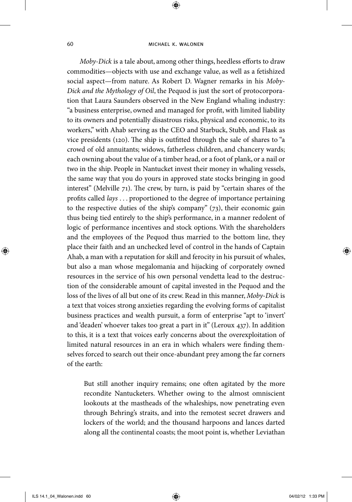*Moby-Dick* is a tale about, among other things, heedless efforts to draw commodities—objects with use and exchange value, as well as a fetishized social aspect—from nature. As Robert D. Wagner remarks in his *Moby-Dick and the Mythology of Oil*, the Pequod is just the sort of protocorporation that Laura Saunders observed in the New England whaling industry: "a business enterprise, owned and managed for profit, with limited liability to its owners and potentially disastrous risks, physical and economic, to its workers," with Ahab serving as the CEO and Starbuck, Stubb, and Flask as vice presidents (120). The ship is outfitted through the sale of shares to "a crowd of old annuitants; widows, fatherless children, and chancery wards; each owning about the value of a timber head, or a foot of plank, or a nail or two in the ship. People in Nantucket invest their money in whaling vessels, the same way that you do yours in approved state stocks bringing in good interest" (Melville 71). The crew, by turn, is paid by "certain shares of the profits called *lays* . . . proportioned to the degree of importance pertaining to the respective duties of the ship's company"  $(73)$ , their economic gain thus being tied entirely to the ship's performance, in a manner redolent of logic of performance incentives and stock options. With the shareholders and the employees of the Pequod thus married to the bottom line, they place their faith and an unchecked level of control in the hands of Captain Ahab, a man with a reputation for skill and ferocity in his pursuit of whales, but also a man whose megalomania and hijacking of corporately owned resources in the service of his own personal vendetta lead to the destruction of the considerable amount of capital invested in the Pequod and the loss of the lives of all but one of its crew. Read in this manner, *Moby-Dick* is a text that voices strong anxieties regarding the evolving forms of capitalist business practices and wealth pursuit, a form of enterprise "apt to 'invert' and 'deaden' whoever takes too great a part in it" (Leroux 437). In addition to this, it is a text that voices early concerns about the overexploitation of limited natural resources in an era in which whalers were finding themselves forced to search out their once-abundant prey among the far corners of the earth:

But still another inquiry remains; one often agitated by the more recondite Nantucketers. Whether owing to the almost omniscient lookouts at the mastheads of the whaleships, now penetrating even through Behring's straits, and into the remotest secret drawers and lockers of the world; and the thousand harpoons and lances darted along all the continental coasts; the moot point is, whether Leviathan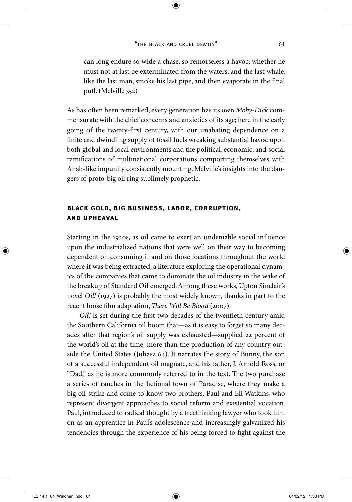can long endure so wide a chase, so remorseless a havoc; whether he must not at last be exterminated from the waters, and the last whale, like the last man, smoke his last pipe, and then evaporate in the final puff. (Melville 352)

As has often been remarked, every generation has its own *Moby-Dick* commensurate with the chief concerns and anxieties of its age; here in the early going of the twenty-first century, with our unabating dependence on a finite and dwindling supply of fossil fuels wreaking substantial havoc upon both global and local environments and the political, economic, and social ramifications of multinational corporations comporting themselves with Ahab-like impunity consistently mounting, Melville's insights into the dangers of proto-big oil ring sublimely prophetic.

# **black gold, big business, labor, corruption, and upheaval**

Starting in the 1920s, as oil came to exert an undeniable social influence upon the industrialized nations that were well on their way to becoming dependent on consuming it and on those locations throughout the world where it was being extracted, a literature exploring the operational dynamics of the companies that came to dominate the oil industry in the wake of the breakup of Standard Oil emerged. Among these works, Upton Sinclair's novel *Oil!* (1927) is probably the most widely known, thanks in part to the recent loose film adaptation, *There Will Be Blood* (2007).

*Oil!* is set during the first two decades of the twentieth century amid the Southern California oil boom that—as it is easy to forget so many decades after that region's oil supply was exhausted—supplied 22 percent of the world's oil at the time, more than the production of any country outside the United States (Juhasz 64). It narrates the story of Bunny, the son of a successful independent oil magnate, and his father, J. Arnold Ross, or "Dad," as he is more commonly referred to in the text. The two purchase a series of ranches in the fictional town of Paradise, where they make a big oil strike and come to know two brothers, Paul and Eli Watkins, who represent divergent approaches to social reform and existential vocation. Paul, introduced to radical thought by a freethinking lawyer who took him on as an apprentice in Paul's adolescence and increasingly galvanized his tendencies through the experience of his being forced to fight against the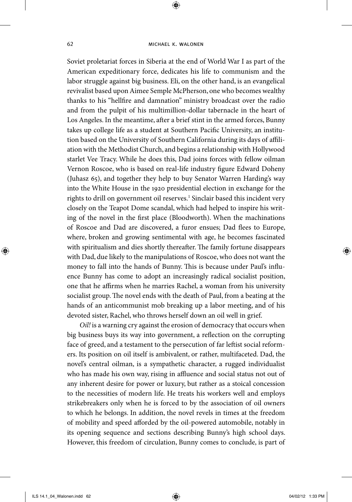Soviet proletariat forces in Siberia at the end of World War I as part of the American expeditionary force, dedicates his life to communism and the labor struggle against big business. Eli, on the other hand, is an evangelical revivalist based upon Aimee Semple McPherson, one who becomes wealthy thanks to his "hellfire and damnation" ministry broadcast over the radio and from the pulpit of his multimillion-dollar tabernacle in the heart of Los Angeles. In the meantime, after a brief stint in the armed forces, Bunny takes up college life as a student at Southern Pacific University, an institution based on the University of Southern California during its days of affiliation with the Methodist Church, and begins a relationship with Hollywood starlet Vee Tracy. While he does this, Dad joins forces with fellow oilman Vernon Roscoe, who is based on real-life industry figure Edward Doheny (Juhasz 65), and together they help to buy Senator Warren Harding's way into the White House in the 1920 presidential election in exchange for the rights to drill on government oil reserves.<sup>1</sup> Sinclair based this incident very closely on the Teapot Dome scandal, which had helped to inspire his writing of the novel in the first place (Bloodworth). When the machinations of Roscoe and Dad are discovered, a furor ensues; Dad flees to Europe, where, broken and growing sentimental with age, he becomes fascinated with spiritualism and dies shortly thereafter. The family fortune disappears with Dad, due likely to the manipulations of Roscoe, who does not want the money to fall into the hands of Bunny. This is because under Paul's influence Bunny has come to adopt an increasingly radical socialist position, one that he affirms when he marries Rachel, a woman from his university socialist group. The novel ends with the death of Paul, from a beating at the hands of an anticommunist mob breaking up a labor meeting, and of his devoted sister, Rachel, who throws herself down an oil well in grief.

*Oil!* is a warning cry against the erosion of democracy that occurs when big business buys its way into government, a reflection on the corrupting face of greed, and a testament to the persecution of far leftist social reformers. Its position on oil itself is ambivalent, or rather, multifaceted. Dad, the novel's central oilman, is a sympathetic character, a rugged individualist who has made his own way, rising in affluence and social status not out of any inherent desire for power or luxury, but rather as a stoical concession to the necessities of modern life. He treats his workers well and employs strikebreakers only when he is forced to by the association of oil owners to which he belongs. In addition, the novel revels in times at the freedom of mobility and speed afforded by the oil-powered automobile, notably in its opening sequence and sections describing Bunny's high school days. However, this freedom of circulation, Bunny comes to conclude, is part of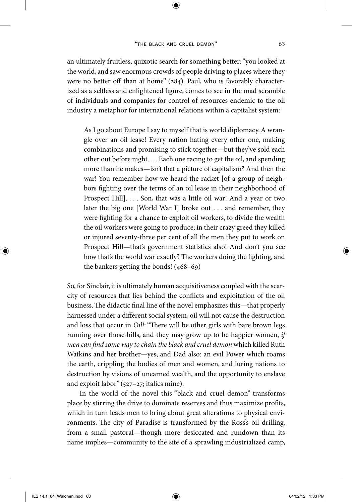an ultimately fruitless, quixotic search for something better: "you looked at the world, and saw enormous crowds of people driving to places where they were no better off than at home" (284). Paul, who is favorably characterized as a selfless and enlightened figure, comes to see in the mad scramble of individuals and companies for control of resources endemic to the oil industry a metaphor for international relations within a capitalist system:

As I go about Europe I say to myself that is world diplomacy. A wrangle over an oil lease! Every nation hating every other one, making combinations and promising to stick together—but they've sold each other out before night. . . . Each one racing to get the oil, and spending more than he makes—isn't that a picture of capitalism? And then the war! You remember how we heard the racket [of a group of neighbors fighting over the terms of an oil lease in their neighborhood of Prospect Hill]. . . . Son, that was a little oil war! And a year or two later the big one [World War I] broke out . . . and remember, they were fighting for a chance to exploit oil workers, to divide the wealth the oil workers were going to produce; in their crazy greed they killed or injured seventy-three per cent of all the men they put to work on Prospect Hill—that's government statistics also! And don't you see how that's the world war exactly? The workers doing the fighting, and the bankers getting the bonds! (468–69)

So, for Sinclair, it is ultimately human acquisitiveness coupled with the scarcity of resources that lies behind the conflicts and exploitation of the oil business. The didactic final line of the novel emphasizes this—that properly harnessed under a different social system, oil will not cause the destruction and loss that occur in *Oil!*: "There will be other girls with bare brown legs running over those hills, and they may grow up to be happier women, *if men can find some way to chain the black and cruel demon* which killed Ruth Watkins and her brother—yes, and Dad also: an evil Power which roams the earth, crippling the bodies of men and women, and luring nations to destruction by visions of unearned wealth, and the opportunity to enslave and exploit labor" (527–27; italics mine).

In the world of the novel this "black and cruel demon" transforms place by stirring the drive to dominate reserves and thus maximize profits, which in turn leads men to bring about great alterations to physical environments. The city of Paradise is transformed by the Ross's oil drilling, from a small pastoral—though more desiccated and rundown than its name implies—community to the site of a sprawling industrialized camp,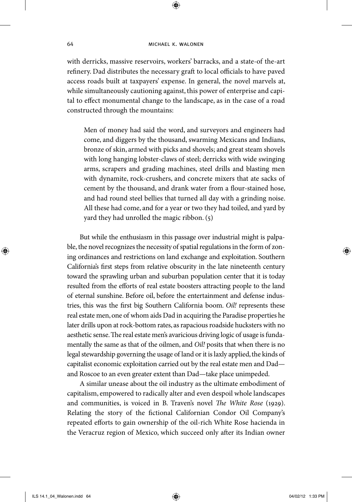with derricks, massive reservoirs, workers' barracks, and a state-of the-art refinery. Dad distributes the necessary graft to local officials to have paved access roads built at taxpayers' expense. In general, the novel marvels at, while simultaneously cautioning against, this power of enterprise and capital to effect monumental change to the landscape, as in the case of a road constructed through the mountains:

Men of money had said the word, and surveyors and engineers had come, and diggers by the thousand, swarming Mexicans and Indians, bronze of skin, armed with picks and shovels; and great steam shovels with long hanging lobster-claws of steel; derricks with wide swinging arms, scrapers and grading machines, steel drills and blasting men with dynamite, rock-crushers, and concrete mixers that ate sacks of cement by the thousand, and drank water from a flour-stained hose, and had round steel bellies that turned all day with a grinding noise. All these had come, and for a year or two they had toiled, and yard by yard they had unrolled the magic ribbon. (5)

But while the enthusiasm in this passage over industrial might is palpable, the novel recognizes the necessity of spatial regulations in the form of zoning ordinances and restrictions on land exchange and exploitation. Southern California's first steps from relative obscurity in the late nineteenth century toward the sprawling urban and suburban population center that it is today resulted from the efforts of real estate boosters attracting people to the land of eternal sunshine. Before oil, before the entertainment and defense industries, this was the first big Southern California boom. *Oil!* represents these real estate men, one of whom aids Dad in acquiring the Paradise properties he later drills upon at rock-bottom rates, as rapacious roadside hucksters with no aesthetic sense. The real estate men's avaricious driving logic of usage is fundamentally the same as that of the oilmen, and *Oil!* posits that when there is no legal stewardship governing the usage of land or it is laxly applied, the kinds of capitalist economic exploitation carried out by the real estate men and Dad and Roscoe to an even greater extent than Dad—take place unimpeded.

A similar unease about the oil industry as the ultimate embodiment of capitalism, empowered to radically alter and even despoil whole landscapes and communities, is voiced in B. Traven's novel *The White Rose* (1929). Relating the story of the fictional Californian Condor Oil Company's repeated efforts to gain ownership of the oil-rich White Rose hacienda in the Veracruz region of Mexico, which succeed only after its Indian owner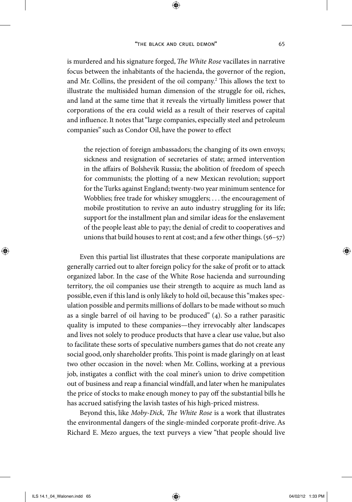is murdered and his signature forged, *The White Rose* vacillates in narrative focus between the inhabitants of the hacienda, the governor of the region, and Mr. Collins, the president of the oil company.<sup>2</sup> This allows the text to illustrate the multisided human dimension of the struggle for oil, riches, and land at the same time that it reveals the virtually limitless power that corporations of the era could wield as a result of their reserves of capital and influence. It notes that "large companies, especially steel and petroleum companies" such as Condor Oil, have the power to effect

the rejection of foreign ambassadors; the changing of its own envoys; sickness and resignation of secretaries of state; armed intervention in the affairs of Bolshevik Russia; the abolition of freedom of speech for communists; the plotting of a new Mexican revolution; support for the Turks against England; twenty-two year minimum sentence for Wobblies; free trade for whiskey smugglers; . . . the encouragement of mobile prostitution to revive an auto industry struggling for its life; support for the installment plan and similar ideas for the enslavement of the people least able to pay; the denial of credit to cooperatives and unions that build houses to rent at cost; and a few other things. (56–57)

Even this partial list illustrates that these corporate manipulations are generally carried out to alter foreign policy for the sake of profit or to attack organized labor. In the case of the White Rose hacienda and surrounding territory, the oil companies use their strength to acquire as much land as possible, even if this land is only likely to hold oil, because this "makes speculation possible and permits millions of dollars to be made without so much as a single barrel of oil having to be produced" (4). So a rather parasitic quality is imputed to these companies—they irrevocably alter landscapes and lives not solely to produce products that have a clear use value, but also to facilitate these sorts of speculative numbers games that do not create any social good, only shareholder profits. This point is made glaringly on at least two other occasion in the novel: when Mr. Collins, working at a previous job, instigates a conflict with the coal miner's union to drive competition out of business and reap a financial windfall, and later when he manipulates the price of stocks to make enough money to pay off the substantial bills he has accrued satisfying the lavish tastes of his high-priced mistress.

Beyond this, like *Moby-Dick, The White Rose* is a work that illustrates the environmental dangers of the single-minded corporate profit-drive. As Richard E. Mezo argues, the text purveys a view "that people should live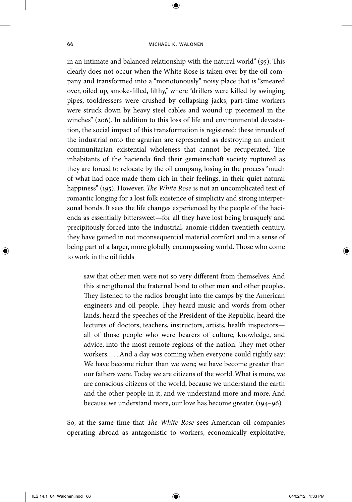in an intimate and balanced relationship with the natural world" (95). This clearly does not occur when the White Rose is taken over by the oil company and transformed into a "monotonously" noisy place that is "smeared over, oiled up, smoke-filled, filthy," where "drillers were killed by swinging pipes, tooldressers were crushed by collapsing jacks, part-time workers were struck down by heavy steel cables and wound up piecemeal in the winches" (206). In addition to this loss of life and environmental devastation, the social impact of this transformation is registered: these inroads of the industrial onto the agrarian are represented as destroying an ancient communitarian existential wholeness that cannot be recuperated. The inhabitants of the hacienda find their gemeinschaft society ruptured as they are forced to relocate by the oil company, losing in the process "much of what had once made them rich in their feelings, in their quiet natural happiness" (195). However, *The White Rose* is not an uncomplicated text of romantic longing for a lost folk existence of simplicity and strong interpersonal bonds. It sees the life changes experienced by the people of the hacienda as essentially bittersweet—for all they have lost being brusquely and precipitously forced into the industrial, anomie-ridden twentieth century, they have gained in not inconsequential material comfort and in a sense of being part of a larger, more globally encompassing world. Those who come to work in the oil fields

saw that other men were not so very different from themselves. And this strengthened the fraternal bond to other men and other peoples. They listened to the radios brought into the camps by the American engineers and oil people. They heard music and words from other lands, heard the speeches of the President of the Republic, heard the lectures of doctors, teachers, instructors, artists, health inspectors all of those people who were bearers of culture, knowledge, and advice, into the most remote regions of the nation. They met other workers. . . . And a day was coming when everyone could rightly say: We have become richer than we were; we have become greater than our fathers were. Today we are citizens of the world. What is more, we are conscious citizens of the world, because we understand the earth and the other people in it, and we understand more and more. And because we understand more, our love has become greater. (194–96)

So, at the same time that *The White Rose* sees American oil companies operating abroad as antagonistic to workers, economically exploitative,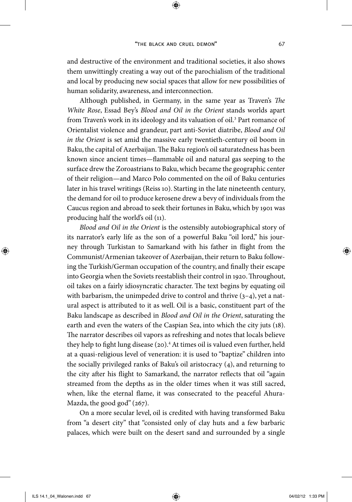and destructive of the environment and traditional societies, it also shows them unwittingly creating a way out of the parochialism of the traditional and local by producing new social spaces that allow for new possibilities of human solidarity, awareness, and interconnection.

Although published, in Germany, in the same year as Traven's *The White Rose*, Essad Bey's *Blood and Oil in the Orient* stands worlds apart from Traven's work in its ideology and its valuation of oil.<sup>3</sup> Part romance of Orientalist violence and grandeur, part anti-Soviet diatribe, *Blood and Oil in the Orient* is set amid the massive early twentieth-century oil boom in Baku, the capital of Azerbaijan. The Baku region's oil saturatedness has been known since ancient times—flammable oil and natural gas seeping to the surface drew the Zoroastrians to Baku, which became the geographic center of their religion—and Marco Polo commented on the oil of Baku centuries later in his travel writings (Reiss 10). Starting in the late nineteenth century, the demand for oil to produce kerosene drew a bevy of individuals from the Caucus region and abroad to seek their fortunes in Baku, which by 1901 was producing half the world's oil (11).

*Blood and Oil in the Orient* is the ostensibly autobiographical story of its narrator's early life as the son of a powerful Baku "oil lord," his journey through Turkistan to Samarkand with his father in flight from the Communist/Armenian takeover of Azerbaijan, their return to Baku following the Turkish/German occupation of the country, and finally their escape into Georgia when the Soviets reestablish their control in 1920. Throughout, oil takes on a fairly idiosyncratic character. The text begins by equating oil with barbarism, the unimpeded drive to control and thrive  $(3-4)$ , yet a natural aspect is attributed to it as well. Oil is a basic, constituent part of the Baku landscape as described in *Blood and Oil in the Orient*, saturating the earth and even the waters of the Caspian Sea, into which the city juts (18). The narrator describes oil vapors as refreshing and notes that locals believe they help to fight lung disease (20).<sup>4</sup> At times oil is valued even further, held at a quasi-religious level of veneration: it is used to "baptize" children into the socially privileged ranks of Baku's oil aristocracy (4), and returning to the city after his flight to Samarkand, the narrator reflects that oil "again streamed from the depths as in the older times when it was still sacred, when, like the eternal flame, it was consecrated to the peaceful Ahura-Mazda, the good god" (267).

On a more secular level, oil is credited with having transformed Baku from "a desert city" that "consisted only of clay huts and a few barbaric palaces, which were built on the desert sand and surrounded by a single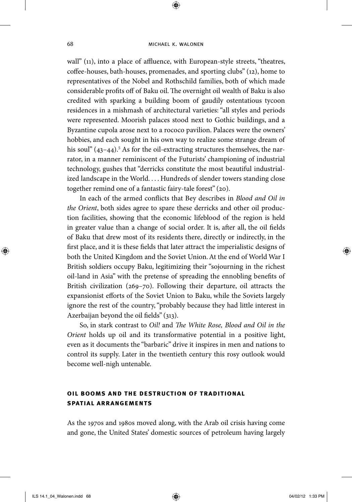wall" (11), into a place of affluence, with European-style streets, "theatres, coffee-houses, bath-houses, promenades, and sporting clubs" (12), home to representatives of the Nobel and Rothschild families, both of which made considerable profits off of Baku oil. The overnight oil wealth of Baku is also credited with sparking a building boom of gaudily ostentatious tycoon residences in a mishmash of architectural varieties: "all styles and periods were represented. Moorish palaces stood next to Gothic buildings, and a Byzantine cupola arose next to a rococo pavilion. Palaces were the owners' hobbies, and each sought in his own way to realize some strange dream of his soul" (43–44).<sup>5</sup> As for the oil-extracting structures themselves, the narrator, in a manner reminiscent of the Futurists' championing of industrial technology, gushes that "derricks constitute the most beautiful industrialized landscape in the World. . . . Hundreds of slender towers standing close together remind one of a fantastic fairy-tale forest" (20).

In each of the armed conflicts that Bey describes in *Blood and Oil in the Orient*, both sides agree to spare these derricks and other oil production facilities, showing that the economic lifeblood of the region is held in greater value than a change of social order. It is, after all, the oil fields of Baku that drew most of its residents there, directly or indirectly, in the first place, and it is these fields that later attract the imperialistic designs of both the United Kingdom and the Soviet Union. At the end of World War I British soldiers occupy Baku, legitimizing their "sojourning in the richest oil-land in Asia" with the pretense of spreading the ennobling benefits of British civilization (269–70). Following their departure, oil attracts the expansionist efforts of the Soviet Union to Baku, while the Soviets largely ignore the rest of the country, "probably because they had little interest in Azerbaijan beyond the oil fields" (313).

So, in stark contrast to *Oil!* and *The White Rose, Blood and Oil in the Orient* holds up oil and its transformative potential in a positive light, even as it documents the "barbaric" drive it inspires in men and nations to control its supply. Later in the twentieth century this rosy outlook would become well-nigh untenable.

# **oil booms and the destruction of traditional spatial arrangements**

As the 1970s and 1980s moved along, with the Arab oil crisis having come and gone, the United States' domestic sources of petroleum having largely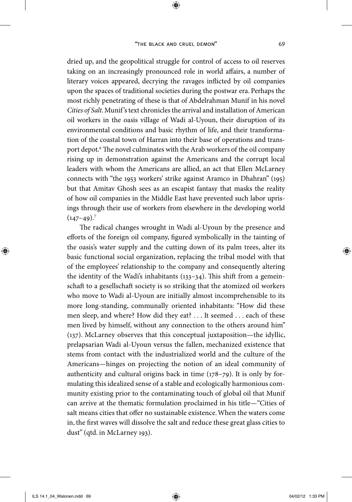dried up, and the geopolitical struggle for control of access to oil reserves taking on an increasingly pronounced role in world affairs, a number of literary voices appeared, decrying the ravages inflicted by oil companies upon the spaces of traditional societies during the postwar era. Perhaps the most richly penetrating of these is that of Abdelrahman Munif in his novel *Cities of Salt*. Munif's text chronicles the arrival and installation of American oil workers in the oasis village of Wadi al-Uyoun, their disruption of its environmental conditions and basic rhythm of life, and their transformation of the coastal town of Harran into their base of operations and transport depot.6 The novel culminates with the Arab workers of the oil company rising up in demonstration against the Americans and the corrupt local leaders with whom the Americans are allied, an act that Ellen McLarney connects with "the 1953 workers' strike against Aramco in Dhahran" (195) but that Amitav Ghosh sees as an escapist fantasy that masks the reality of how oil companies in the Middle East have prevented such labor uprisings through their use of workers from elsewhere in the developing world  $(147-49).$ <sup>7</sup>

The radical changes wrought in Wadi al-Uyoun by the presence and efforts of the foreign oil company, figured symbolically in the tainting of the oasis's water supply and the cutting down of its palm trees, alter its basic functional social organization, replacing the tribal model with that of the employees' relationship to the company and consequently altering the identity of the Wadi's inhabitants (133–34). This shift from a gemeinschaft to a gesellschaft society is so striking that the atomized oil workers who move to Wadi al-Uyoun are initially almost incomprehensible to its more long-standing, communally oriented inhabitants: "How did these men sleep, and where? How did they eat? . . . It seemed . . . each of these men lived by himself, without any connection to the others around him" (137). McLarney observes that this conceptual juxtaposition—the idyllic, prelapsarian Wadi al-Uyoun versus the fallen, mechanized existence that stems from contact with the industrialized world and the culture of the Americans—hinges on projecting the notion of an ideal community of authenticity and cultural origins back in time (178–79). It is only by formulating this idealized sense of a stable and ecologically harmonious community existing prior to the contaminating touch of global oil that Munif can arrive at the thematic formulation proclaimed in his title—"Cities of salt means cities that offer no sustainable existence. When the waters come in, the first waves will dissolve the salt and reduce these great glass cities to dust" (qtd. in McLarney 193).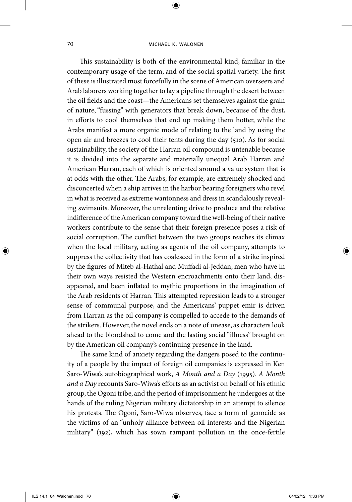This sustainability is both of the environmental kind, familiar in the contemporary usage of the term, and of the social spatial variety. The first of these is illustrated most forcefully in the scene of American overseers and Arab laborers working together to lay a pipeline through the desert between the oil fields and the coast—the Americans set themselves against the grain of nature, "fussing" with generators that break down, because of the dust, in efforts to cool themselves that end up making them hotter, while the Arabs manifest a more organic mode of relating to the land by using the open air and breezes to cool their tents during the day (510). As for social sustainability, the society of the Harran oil compound is untenable because it is divided into the separate and materially unequal Arab Harran and American Harran, each of which is oriented around a value system that is at odds with the other. The Arabs, for example, are extremely shocked and disconcerted when a ship arrives in the harbor bearing foreigners who revel in what is received as extreme wantonness and dress in scandalously revealing swimsuits. Moreover, the unrelenting drive to produce and the relative indifference of the American company toward the well-being of their native workers contribute to the sense that their foreign presence poses a risk of social corruption. The conflict between the two groups reaches its climax when the local military, acting as agents of the oil company, attempts to suppress the collectivity that has coalesced in the form of a strike inspired by the figures of Miteb al-Hathal and Muffadi al-Jeddan, men who have in their own ways resisted the Western encroachments onto their land, disappeared, and been inflated to mythic proportions in the imagination of the Arab residents of Harran. This attempted repression leads to a stronger sense of communal purpose, and the Americans' puppet emir is driven from Harran as the oil company is compelled to accede to the demands of the strikers. However, the novel ends on a note of unease, as characters look ahead to the bloodshed to come and the lasting social "illness" brought on by the American oil company's continuing presence in the land.

The same kind of anxiety regarding the dangers posed to the continuity of a people by the impact of foreign oil companies is expressed in Ken Saro-Wiwa's autobiographical work, *A Month and a Day* (1995). *A Month and a Day* recounts Saro-Wiwa's efforts as an activist on behalf of his ethnic group, the Ogoni tribe, and the period of imprisonment he undergoes at the hands of the ruling Nigerian military dictatorship in an attempt to silence his protests. The Ogoni, Saro-Wiwa observes, face a form of genocide as the victims of an "unholy alliance between oil interests and the Nigerian military" (192), which has sown rampant pollution in the once-fertile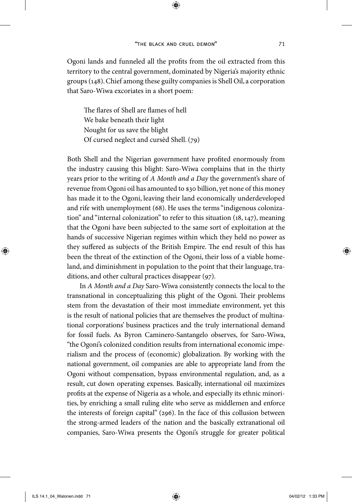Ogoni lands and funneled all the profits from the oil extracted from this territory to the central government, dominated by Nigeria's majority ethnic groups (148). Chief among these guilty companies is Shell Oil, a corporation that Saro-Wiwa excoriates in a short poem:

The flares of Shell are flames of hell We bake beneath their light Nought for us save the blight Of cursed neglect and cursèd Shell. (79)

Both Shell and the Nigerian government have profited enormously from the industry causing this blight: Saro-Wiwa complains that in the thirty years prior to the writing of *A Month and a Day* the government's share of revenue from Ogoni oil has amounted to \$30 billion, yet none of this money has made it to the Ogoni, leaving their land economically underdeveloped and rife with unemployment (68). He uses the terms "indigenous colonization" and "internal colonization" to refer to this situation (18, 147), meaning that the Ogoni have been subjected to the same sort of exploitation at the hands of successive Nigerian regimes within which they held no power as they suffered as subjects of the British Empire. The end result of this has been the threat of the extinction of the Ogoni, their loss of a viable homeland, and diminishment in population to the point that their language, traditions, and other cultural practices disappear (97).

In *A Month and a Day* Saro-Wiwa consistently connects the local to the transnational in conceptualizing this plight of the Ogoni. Their problems stem from the devastation of their most immediate environment, yet this is the result of national policies that are themselves the product of multinational corporations' business practices and the truly international demand for fossil fuels. As Byron Caminero-Santangelo observes, for Saro-Wiwa, "the Ogoni's colonized condition results from international economic imperialism and the process of (economic) globalization. By working with the national government, oil companies are able to appropriate land from the Ogoni without compensation, bypass environmental regulation, and, as a result, cut down operating expenses. Basically, international oil maximizes profits at the expense of Nigeria as a whole, and especially its ethnic minorities, by enriching a small ruling elite who serve as middlemen and enforce the interests of foreign capital" (296). In the face of this collusion between the strong-armed leaders of the nation and the basically extranational oil companies, Saro-Wiwa presents the Ogoni's struggle for greater political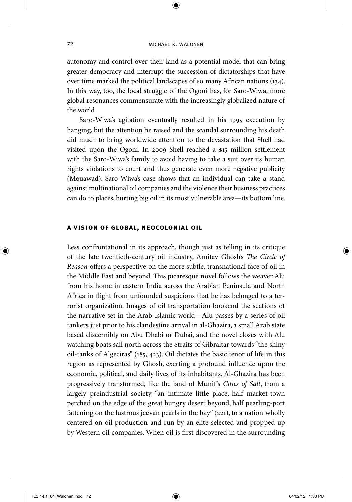autonomy and control over their land as a potential model that can bring greater democracy and interrupt the succession of dictatorships that have over time marked the political landscapes of so many African nations (134). In this way, too, the local struggle of the Ogoni has, for Saro-Wiwa, more global resonances commensurate with the increasingly globalized nature of the world

Saro-Wiwa's agitation eventually resulted in his 1995 execution by hanging, but the attention he raised and the scandal surrounding his death did much to bring worldwide attention to the devastation that Shell had visited upon the Ogoni. In 2009 Shell reached a \$15 million settlement with the Saro-Wiwa's family to avoid having to take a suit over its human rights violations to court and thus generate even more negative publicity (Mouawad). Saro-Wiwa's case shows that an individual can take a stand against multinational oil companies and the violence their business practices can do to places, hurting big oil in its most vulnerable area—its bottom line.

#### **a vision of global, neocolonial oil**

Less confrontational in its approach, though just as telling in its critique of the late twentieth-century oil industry, Amitav Ghosh's *The Circle of Reason* offers a perspective on the more subtle, transnational face of oil in the Middle East and beyond. This picaresque novel follows the weaver Alu from his home in eastern India across the Arabian Peninsula and North Africa in flight from unfounded suspicions that he has belonged to a terrorist organization. Images of oil transportation bookend the sections of the narrative set in the Arab-Islamic world—Alu passes by a series of oil tankers just prior to his clandestine arrival in al-Ghazira, a small Arab state based discernibly on Abu Dhabi or Dubai, and the novel closes with Alu watching boats sail north across the Straits of Gibraltar towards "the shiny oil-tanks of Algeciras" (185, 423). Oil dictates the basic tenor of life in this region as represented by Ghosh, exerting a profound influence upon the economic, political, and daily lives of its inhabitants. Al-Ghazira has been progressively transformed, like the land of Munif's *Cities of Salt*, from a largely preindustrial society, "an intimate little place, half market-town perched on the edge of the great hungry desert beyond, half pearling-port fattening on the lustrous jeevan pearls in the bay" (221), to a nation wholly centered on oil production and run by an elite selected and propped up by Western oil companies. When oil is first discovered in the surrounding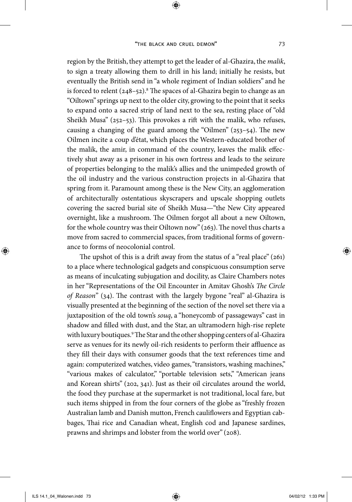region by the British, they attempt to get the leader of al-Ghazira, the *malik*, to sign a treaty allowing them to drill in his land; initially he resists, but eventually the British send in "a whole regiment of Indian soldiers" and he is forced to relent (248–52).<sup>8</sup> The spaces of al-Ghazira begin to change as an "Oiltown" springs up next to the older city, growing to the point that it seeks to expand onto a sacred strip of land next to the sea, resting place of "old Sheikh Musa" (252–53). This provokes a rift with the malik, who refuses, causing a changing of the guard among the "Oilmen" (253–54). The new Oilmen incite a coup d'état, which places the Western-educated brother of the malik, the amir, in command of the country, leaves the malik effectively shut away as a prisoner in his own fortress and leads to the seizure of properties belonging to the malik's allies and the unimpeded growth of the oil industry and the various construction projects in al-Ghazira that spring from it. Paramount among these is the New City, an agglomeration of architecturally ostentatious skyscrapers and upscale shopping outlets covering the sacred burial site of Sheikh Musa—"the New City appeared overnight, like a mushroom. The Oilmen forgot all about a new Oiltown, for the whole country was their Oiltown now" (263). The novel thus charts a move from sacred to commercial spaces, from traditional forms of governance to forms of neocolonial control.

The upshot of this is a drift away from the status of a "real place" (261) to a place where technological gadgets and conspicuous consumption serve as means of inculcating subjugation and docility, as Claire Chambers notes in her "Representations of the Oil Encounter in Amitav Ghosh's *The Circle of Reason*" (34). The contrast with the largely bygone "real" al-Ghazira is visually presented at the beginning of the section of the novel set there via a juxtaposition of the old town's *souq*, a "honeycomb of passageways" cast in shadow and filled with dust, and the Star, an ultramodern high-rise replete with luxury boutiques.9 The Star and the other shopping centers of al-Ghazira serve as venues for its newly oil-rich residents to perform their affluence as they fill their days with consumer goods that the text references time and again: computerized watches, video games, "transistors, washing machines," "various makes of calculator," "portable television sets," "American jeans and Korean shirts" (202, 341). Just as their oil circulates around the world, the food they purchase at the supermarket is not traditional, local fare, but such items shipped in from the four corners of the globe as "freshly frozen Australian lamb and Danish mutton, French cauliflowers and Egyptian cabbages, Thai rice and Canadian wheat, English cod and Japanese sardines, prawns and shrimps and lobster from the world over" (208).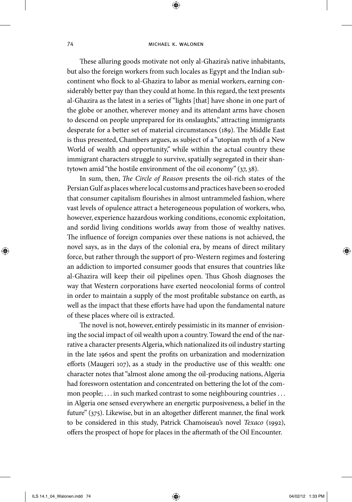These alluring goods motivate not only al-Ghazira's native inhabitants, but also the foreign workers from such locales as Egypt and the Indian subcontinent who flock to al-Ghazira to labor as menial workers, earning considerably better pay than they could at home. In this regard, the text presents al-Ghazira as the latest in a series of "lights [that] have shone in one part of the globe or another, wherever money and its attendant arms have chosen to descend on people unprepared for its onslaughts," attracting immigrants desperate for a better set of material circumstances (189). The Middle East is thus presented, Chambers argues, as subject of a "utopian myth of a New World of wealth and opportunity," while within the actual country these immigrant characters struggle to survive, spatially segregated in their shantytown amid "the hostile environment of the oil economy" (37, 38).

In sum, then, *The Circle of Reason* presents the oil-rich states of the Persian Gulf as places where local customs and practices have been so eroded that consumer capitalism flourishes in almost untrammeled fashion, where vast levels of opulence attract a heterogeneous population of workers, who, however, experience hazardous working conditions, economic exploitation, and sordid living conditions worlds away from those of wealthy natives. The influence of foreign companies over these nations is not achieved, the novel says, as in the days of the colonial era, by means of direct military force, but rather through the support of pro-Western regimes and fostering an addiction to imported consumer goods that ensures that countries like al-Ghazira will keep their oil pipelines open. Thus Ghosh diagnoses the way that Western corporations have exerted neocolonial forms of control in order to maintain a supply of the most profitable substance on earth, as well as the impact that these efforts have had upon the fundamental nature of these places where oil is extracted.

The novel is not, however, entirely pessimistic in its manner of envisioning the social impact of oil wealth upon a country. Toward the end of the narrative a character presents Algeria, which nationalized its oil industry starting in the late 1960s and spent the profits on urbanization and modernization efforts (Maugeri 107), as a study in the productive use of this wealth: one character notes that "almost alone among the oil-producing nations, Algeria had foresworn ostentation and concentrated on bettering the lot of the common people; . . . in such marked contrast to some neighbouring countries . . . in Algeria one sensed everywhere an energetic purposiveness, a belief in the future" (375). Likewise, but in an altogether different manner, the final work to be considered in this study, Patrick Chamoiseau's novel *Texaco* (1992), offers the prospect of hope for places in the aftermath of the Oil Encounter.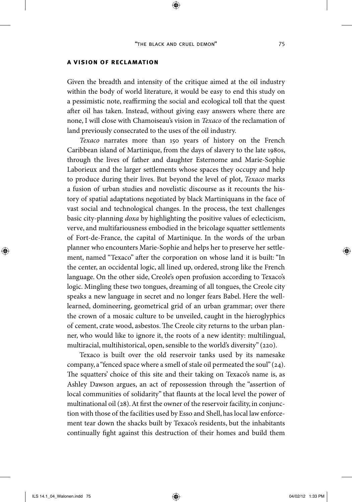#### **a vision of reclamation**

Given the breadth and intensity of the critique aimed at the oil industry within the body of world literature, it would be easy to end this study on a pessimistic note, reaffirming the social and ecological toll that the quest after oil has taken. Instead, without giving easy answers where there are none, I will close with Chamoiseau's vision in *Texaco* of the reclamation of land previously consecrated to the uses of the oil industry.

*Texaco* narrates more than 150 years of history on the French Caribbean island of Martinique, from the days of slavery to the late 1980s, through the lives of father and daughter Esternome and Marie-Sophie Laborieux and the larger settlements whose spaces they occupy and help to produce during their lives. But beyond the level of plot, *Texaco* marks a fusion of urban studies and novelistic discourse as it recounts the history of spatial adaptations negotiated by black Martiniquans in the face of vast social and technological changes. In the process, the text challenges basic city-planning *doxa* by highlighting the positive values of eclecticism, verve, and multifariousness embodied in the bricolage squatter settlements of Fort-de-France, the capital of Martinique. In the words of the urban planner who encounters Marie-Sophie and helps her to preserve her settlement, named "Texaco" after the corporation on whose land it is built: "In the center, an occidental logic, all lined up, ordered, strong like the French language. On the other side, Creole's open profusion according to Texaco's logic. Mingling these two tongues, dreaming of all tongues, the Creole city speaks a new language in secret and no longer fears Babel. Here the welllearned, domineering, geometrical grid of an urban grammar; over there the crown of a mosaic culture to be unveiled, caught in the hieroglyphics of cement, crate wood, asbestos. The Creole city returns to the urban planner, who would like to ignore it, the roots of a new identity: multilingual, multiracial, multihistorical, open, sensible to the world's diversity" (220).

Texaco is built over the old reservoir tanks used by its namesake company, a "fenced space where a smell of stale oil permeated the soul" (24). The squatters' choice of this site and their taking on Texaco's name is, as Ashley Dawson argues, an act of repossession through the "assertion of local communities of solidarity" that flaunts at the local level the power of multinational oil (28). At first the owner of the reservoir facility, in conjunction with those of the facilities used by Esso and Shell, has local law enforcement tear down the shacks built by Texaco's residents, but the inhabitants continually fight against this destruction of their homes and build them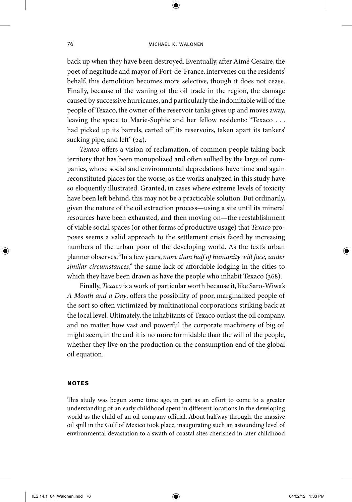back up when they have been destroyed. Eventually, after Aimé Cesaire, the poet of negritude and mayor of Fort-de-France, intervenes on the residents' behalf, this demolition becomes more selective, though it does not cease. Finally, because of the waning of the oil trade in the region, the damage caused by successive hurricanes, and particularly the indomitable will of the people of Texaco, the owner of the reservoir tanks gives up and moves away, leaving the space to Marie-Sophie and her fellow residents: "Texaco . . . had picked up its barrels, carted off its reservoirs, taken apart its tankers' sucking pipe, and left"  $(24)$ .

*Texaco* offers a vision of reclamation, of common people taking back territory that has been monopolized and often sullied by the large oil companies, whose social and environmental depredations have time and again reconstituted places for the worse, as the works analyzed in this study have so eloquently illustrated. Granted, in cases where extreme levels of toxicity have been left behind, this may not be a practicable solution. But ordinarily, given the nature of the oil extraction process—using a site until its mineral resources have been exhausted, and then moving on—the reestablishment of viable social spaces (or other forms of productive usage) that *Texaco* proposes seems a valid approach to the settlement crisis faced by increasing numbers of the urban poor of the developing world. As the text's urban planner observes, "In a few years, *more than half of humanity will face, under similar circumstances*," the same lack of affordable lodging in the cities to which they have been drawn as have the people who inhabit Texaco (368).

Finally, *Texaco* is a work of particular worth because it, like Saro-Wiwa's *A Month and a Day*, offers the possibility of poor, marginalized people of the sort so often victimized by multinational corporations striking back at the local level. Ultimately, the inhabitants of Texaco outlast the oil company, and no matter how vast and powerful the corporate machinery of big oil might seem, in the end it is no more formidable than the will of the people, whether they live on the production or the consumption end of the global oil equation.

#### **notes**

This study was begun some time ago, in part as an effort to come to a greater understanding of an early childhood spent in different locations in the developing world as the child of an oil company official. About halfway through, the massive oil spill in the Gulf of Mexico took place, inaugurating such an astounding level of environmental devastation to a swath of coastal sites cherished in later childhood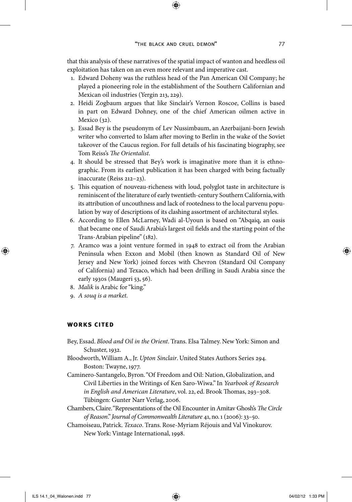that this analysis of these narratives of the spatial impact of wanton and heedless oil exploitation has taken on an even more relevant and imperative cast.

- 1. Edward Doheny was the ruthless head of the Pan American Oil Company; he played a pioneering role in the establishment of the Southern Californian and Mexican oil industries (Yergin 213, 229).
- 2. Heidi Zogbaum argues that like Sinclair's Vernon Roscoe, Collins is based in part on Edward Dohney, one of the chief American oilmen active in Mexico (32).
- 3. Essad Bey is the pseudonym of Lev Nussimbaum, an Azerbaijani-born Jewish writer who converted to Islam after moving to Berlin in the wake of the Soviet takeover of the Caucus region. For full details of his fascinating biography, see Tom Reiss's *The Orientalist*.
- 4. It should be stressed that Bey's work is imaginative more than it is ethnographic. From its earliest publication it has been charged with being factually inaccurate (Reiss 212–23).
- 5. This equation of nouveau-richeness with loud, polyglot taste in architecture is reminiscent of the literature of early twentieth-century Southern California, with its attribution of uncouthness and lack of rootedness to the local parvenu population by way of descriptions of its clashing assortment of architectural styles.
- 6. According to Ellen McLarney, Wadi al-Uyoun is based on "Abqaiq, an oasis that became one of Saudi Arabia's largest oil fields and the starting point of the Trans-Arabian pipeline" (182).
- 7. Aramco was a joint venture formed in 1948 to extract oil from the Arabian Peninsula when Exxon and Mobil (then known as Standard Oil of New Jersey and New York) joined forces with Chevron (Standard Oil Company of California) and Texaco, which had been drilling in Saudi Arabia since the early 1930s (Maugeri 53, 56).
- 8. *Malik* is Arabic for "king."
- 9. *A souq is a market.*

# **works cited**

- Bey, Essad. *Blood and Oil in the Orient*. Trans. Elsa Talmey. New York: Simon and Schuster, 1932.
- Bloodworth, William A., Jr. *Upton Sinclair*. United States Authors Series 294. Boston: Twayne, 1977.
- Caminero-Santangelo, Byron. "Of Freedom and Oil: Nation, Globalization, and Civil Liberties in the Writings of Ken Saro-Wiwa." In *Yearbook of Research in English and American Literature*, vol. 22, ed. Brook Thomas, 293–308. Tübingen: Gunter Narr Verlag, 2006.
- Chambers, Claire. "Representations of the Oil Encounter in Amitav Ghosh's *The Circle of Reason*." *Journal of Commonwealth Literature* 41, no. 1 (2006): 33–50.
- Chamoiseau, Patrick. *Texaco*. Trans. Rose-Myriam Réjouis and Val Vinokurov. New York: Vintage International, 1998.